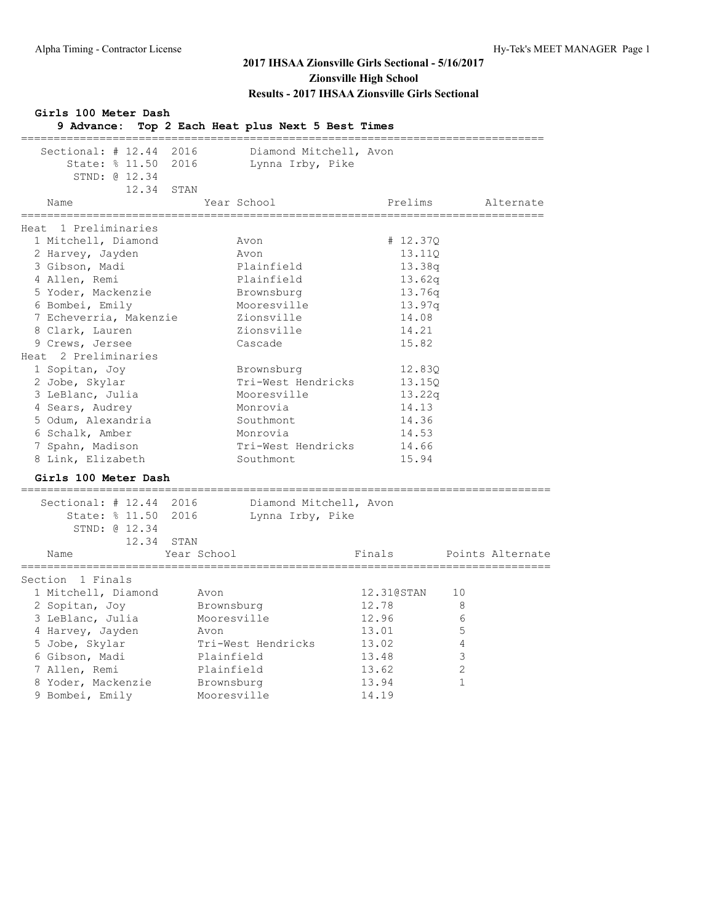| Girls 100 Meter Dash<br>9 Advance:                                                                                                                                                                                                                                                                                                                                          | Top 2 Each Heat plus Next 5 Best Times                                                                                                                                                                                     |                                                                                                                                                         |                        |
|-----------------------------------------------------------------------------------------------------------------------------------------------------------------------------------------------------------------------------------------------------------------------------------------------------------------------------------------------------------------------------|----------------------------------------------------------------------------------------------------------------------------------------------------------------------------------------------------------------------------|---------------------------------------------------------------------------------------------------------------------------------------------------------|------------------------|
| Sectional: # 12.44<br>State: % 11.50 2016<br>STND: 0 12.34                                                                                                                                                                                                                                                                                                                  | 2016<br>Diamond Mitchell, Avon<br>Lynna Irby, Pike                                                                                                                                                                         |                                                                                                                                                         |                        |
| 12.34<br>Name                                                                                                                                                                                                                                                                                                                                                               | STAN<br>Year School                                                                                                                                                                                                        | Prelims                                                                                                                                                 | Alternate              |
| ===============                                                                                                                                                                                                                                                                                                                                                             |                                                                                                                                                                                                                            |                                                                                                                                                         |                        |
| Heat 1 Preliminaries<br>1 Mitchell, Diamond<br>2 Harvey, Jayden<br>3 Gibson, Madi<br>4 Allen, Remi<br>5 Yoder, Mackenzie<br>6 Bombei, Emily<br>7 Echeverria, Makenzie<br>8 Clark, Lauren<br>9 Crews, Jersee<br>Heat 2 Preliminaries<br>1 Sopitan, Joy<br>2 Jobe, Skylar<br>3 LeBlanc, Julia<br>4 Sears, Audrey<br>5 Odum, Alexandria<br>6 Schalk, Amber<br>7 Spahn, Madison | Avon<br>Avon<br>Plainfield<br>Plainfield<br>Brownsburg<br>Mooresville<br>Zionsville<br>Zionsville<br>Cascade<br>Brownsburg<br>Tri-West Hendricks<br>Mooresville<br>Monrovia<br>Southmont<br>Monrovia<br>Tri-West Hendricks | # 12.37Q<br>13.110<br>13.38q<br>13.62q<br>13.76q<br>13.97q<br>14.08<br>14.21<br>15.82<br>12.83Q<br>13.15Q<br>13.22q<br>14.13<br>14.36<br>14.53<br>14.66 |                        |
| 8 Link, Elizabeth                                                                                                                                                                                                                                                                                                                                                           | Southmont                                                                                                                                                                                                                  | 15.94                                                                                                                                                   |                        |
| Girls 100 Meter Dash                                                                                                                                                                                                                                                                                                                                                        |                                                                                                                                                                                                                            |                                                                                                                                                         |                        |
| ____________________<br>Sectional: # 12.44<br>State: % 11.50<br>STND: @ 12.34<br>12.34<br>Name                                                                                                                                                                                                                                                                              | 2016<br>Diamond Mitchell, Avon<br>2016<br>Lynna Irby, Pike<br>STAN<br>Year School                                                                                                                                          | Finals                                                                                                                                                  | Points Alternate       |
| Section 1 Finals                                                                                                                                                                                                                                                                                                                                                            |                                                                                                                                                                                                                            |                                                                                                                                                         |                        |
| 1 Mitchell, Diamond<br>2 Sopitan, Joy<br>3 LeBlanc, Julia<br>4 Harvey, Jayden<br>5 Jobe, Skylar                                                                                                                                                                                                                                                                             | Avon<br>Brownsburg<br>Mooresville<br>Avon<br>Tri-West Hendricks                                                                                                                                                            | 12.31@STAN<br>12.78<br>12.96<br>13.01<br>13.02                                                                                                          | 10<br>8<br>6<br>5<br>4 |
| 6 Gibson, Madi<br>7 Allen, Remi<br>8 Yoder, Mackenzie<br>9 Bombei, Emily                                                                                                                                                                                                                                                                                                    | Plainfield<br>Plainfield<br>Brownsburg<br>Mooresville                                                                                                                                                                      | 13.48<br>13.62<br>13.94<br>14.19                                                                                                                        | 3<br>2<br>$\mathbf{1}$ |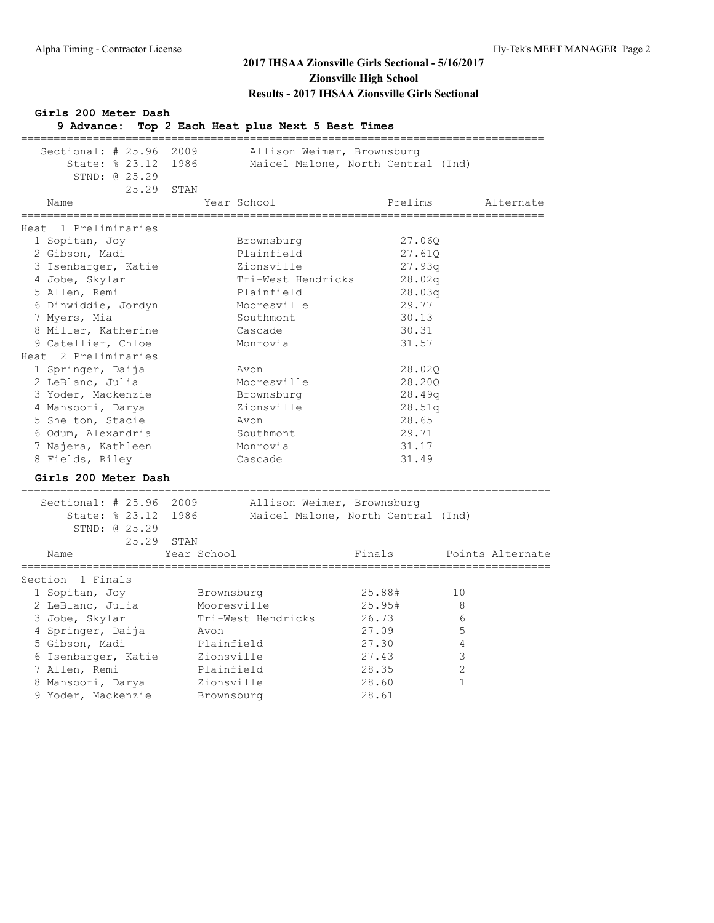| Girls 200 Meter Dash<br>9 Advance:                                                                       | Top 2 Each Heat plus Next 5 Best Times          |                                                                  |                  |
|----------------------------------------------------------------------------------------------------------|-------------------------------------------------|------------------------------------------------------------------|------------------|
| Sectional: # 25.96<br>State: % 23.12 1986<br>STND: 0 25.29<br>25.29                                      | 2009<br>STAN                                    | Allison Weimer, Brownsburg<br>Maicel Malone, North Central (Ind) |                  |
| Name                                                                                                     | Year School                                     | Prelims                                                          | Alternate        |
| =========<br>Heat 1 Preliminaries                                                                        | .============                                   |                                                                  | =========        |
| 1 Sopitan, Joy<br>2 Gibson, Madi<br>3 Isenbarger, Katie                                                  | Brownsburg<br>Plainfield<br>Zionsville          | 27.060<br>27.61Q<br>27.93q                                       |                  |
| 4 Jobe, Skylar<br>5 Allen, Remi<br>6 Dinwiddie, Jordyn                                                   | Tri-West Hendricks<br>Plainfield<br>Mooresville | 28.02q<br>28.03q<br>29.77                                        |                  |
| 7 Myers, Mia<br>8 Miller, Katherine<br>9 Catellier, Chloe                                                | Southmont<br>Cascade<br>Monrovia                | 30.13<br>30.31<br>31.57                                          |                  |
| Heat 2 Preliminaries<br>1 Springer, Daija<br>2 LeBlanc, Julia<br>3 Yoder, Mackenzie<br>4 Mansoori, Darya | Avon<br>Mooresville<br>Brownsburg<br>Zionsville | 28.02Q<br>28.20Q<br>28.49q<br>28.51q                             |                  |
| 5 Shelton, Stacie<br>6 Odum, Alexandria<br>7 Najera, Kathleen<br>8 Fields, Riley                         | Avon<br>Southmont<br>Monrovia<br>Cascade        | 28.65<br>29.71<br>31.17<br>31.49                                 |                  |
| Girls 200 Meter Dash                                                                                     |                                                 |                                                                  |                  |
| Sectional: # 25.96<br>State: % 23.12 1986<br>STND: 0 25.29<br>25.29                                      | 2009<br>STAN                                    | Allison Weimer, Brownsburg<br>Maicel Malone, North Central (Ind) |                  |
| Name                                                                                                     | Year School                                     | Finals                                                           | Points Alternate |
| __________<br>Section 1 Finals                                                                           |                                                 |                                                                  |                  |
| 1 Sopitan, Joy<br>2 LeBlanc, Julia                                                                       | Brownsburg<br>Mooresville                       | 25.88#<br>25.95#                                                 | 10<br>8          |
| 3 Jobe, Skylar<br>4 Springer, Daija<br>5 Gibson, Madi                                                    | Tri-West Hendricks<br>Avon<br>Plainfield        | 26.73<br>27.09<br>27.30                                          | 6<br>5<br>4      |
| 6 Isenbarger, Katie<br>7 Allen, Remi                                                                     | Zionsville<br>Plainfield                        | 27.43<br>28.35                                                   | 3<br>2           |
| 8 Mansoori, Darya<br>9 Yoder, Mackenzie                                                                  | Zionsville<br>Brownsburg                        | 28.60<br>28.61                                                   | 1                |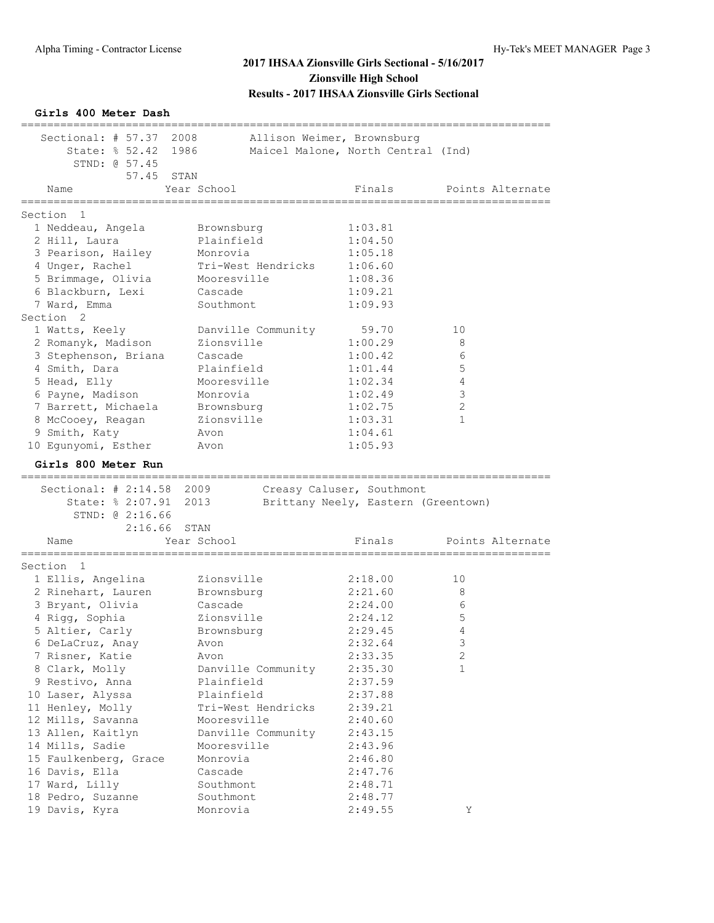**Girls 400 Meter Dash** ================================================================================= Sectional: # 57.37 2008 Allison Weimer, Brownsburg State: % 52.42 1986 Maicel Malone, North Central (Ind) STND: @ 57.45 57.45 STAN<br>Year School Name **The Year School** Pinals Points Alternate ================================================================================= Section 1 1 Neddeau, Angela Brownsburg 1:03.81 2 Hill, Laura **Plainfield** 1:04.50 3 Pearison, Hailey Monrovia 1:05.18 4 Unger, Rachel Tri-West Hendricks 1:06.60 5 Brimmage, Olivia Mooresville 1:08.36 6 Blackburn, Lexi Cascade 1:09.21 7 Ward, Emma Southmont 1:09.93 Section 2 1 Watts, Keely Danville Community 59.70 10 2 Romanyk, Madison Zionsville 1:00.29 8 3 Stephenson, Briana Cascade 1:00.42 6 4 Smith, Dara Plainfield 1:01.44 5 5 Head, Elly Mooresville 1:02.34 4 6 Payne, Madison Monrovia 1:02.49 3 7 Barrett, Michaela Brownsburg 1:02.75 2 8 McCooey, Reagan 2ionsville 1:03.31 1 9 Smith, Katy **Avon** Avon 1:04.61 10 Egunyomi, Esther Moon 1:05.93 **Girls 800 Meter Run** ================================================================================= Sectional: # 2:14.58 2009 Creasy Caluser, Southmont State: % 2:07.91 2013 Brittany Neely, Eastern (Greentown) STND: @ 2:16.66  $2:16.66$  STAN Name The Year School The Points Alternate ================================================================================= Section 1 1 Ellis, Angelina Zionsville 2:18.00 10 2 Rinehart, Lauren Brownsburg 2:21.60 8 3 Bryant, Olivia Cascade 2:24.00 6 4 Rigg, Sophia Zionsville 2:24.12 5 5 Altier, Carly Brownsburg 1997 2:29.45 6 DeLaCruz, Anay Avon 2:32.64 3 7 Risner, Katie Avon 2:33.35 2 8 Clark, Molly Danville Community 2:35.30 1 9 Restivo, Anna anns Plainfield 2:37.59 10 Laser, Alyssa Plainfield 2:37.88 11 Henley, Molly Tri-West Hendricks 2:39.21 12 Mills, Savanna Mooresville 2:40.60 13 Allen, Kaitlyn Danville Community 2:43.15 14 Mills, Sadie Mooresville 2:43.96 15 Faulkenberg, Grace Monrovia 2:46.80 16 Davis, Ella Cascade 2:47.76 17 Ward, Lilly Southmont 2:48.71 18 Pedro, Suzanne Southmont 2:48.77 19 Davis, Kyra Monrovia 2:49.55 Y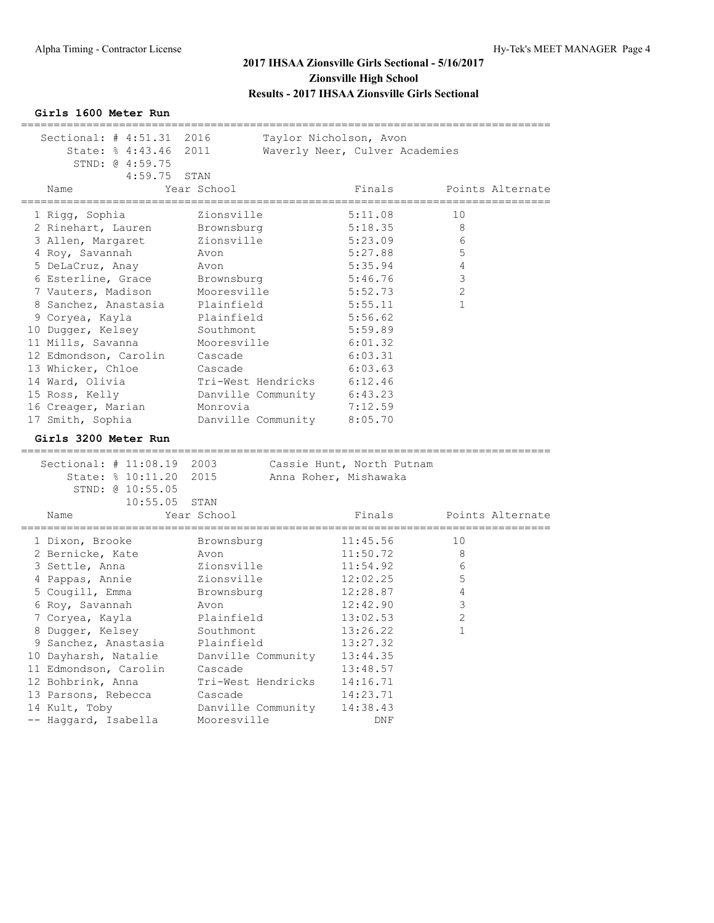#### **Girls 1600 Meter Run**

| Sectional: $\#$ 4:51.31<br>State: % 4:43.46 2011<br>STND: 0 4:59.75 | 2016                | Taylor Nicholson, Avon<br>Waverly Neer, Culver Academies |                    |
|---------------------------------------------------------------------|---------------------|----------------------------------------------------------|--------------------|
| 4:59.75<br>Name                                                     | STAN<br>Year School | Finals                                                   | Points Alternate   |
| ______________                                                      | _____________       | =======                                                  | ================== |
| 1 Rigg, Sophia                                                      | Zionsville          | 5:11.08                                                  | 10                 |
| 2 Rinehart, Lauren                                                  | Brownsburg          | 5:18.35                                                  | 8                  |
| 3 Allen, Margaret                                                   | Zionsville          | 5:23.09                                                  | 6                  |
| 4 Roy, Savannah                                                     | Avon                | 5:27.88                                                  | 5                  |
| 5 DeLaCruz, Anay                                                    | Avon                | 5:35.94                                                  | $\overline{4}$     |
| 6 Esterline, Grace                                                  | Brownsburg          | 5:46.76                                                  | 3                  |
| 7 Vauters, Madison                                                  | Mooresville         | 5:52.73                                                  | $\overline{2}$     |
| 8 Sanchez, Anastasia                                                | Plainfield          | 5:55.11                                                  | $\mathbf{1}$       |
| 9 Coryea, Kayla                                                     | Plainfield          | 5:56.62                                                  |                    |
| 10 Dugger, Kelsey                                                   | Southmont           | 5:59.89                                                  |                    |
| 11 Mills, Savanna                                                   | Mooresville         | 6:01.32                                                  |                    |
| 12 Edmondson, Carolin                                               | Cascade             | 6:03.31                                                  |                    |
| 13 Whicker, Chloe                                                   | Cascade             | 6:03.63                                                  |                    |
| 14 Ward, Olivia                                                     | Tri-West Hendricks  | 6:12.46                                                  |                    |
| 15 Ross, Kelly                                                      | Danville Community  | 6:43.23                                                  |                    |
| 16 Creager, Marian                                                  | Monrovia            | 7:12.59                                                  |                    |
| 17 Smith, Sophia                                                    | Danville Community  | 8:05.70                                                  |                    |
| Girls 3200 Meter Run<br>.======================                     |                     |                                                          |                    |
| Sectional: # 11:08.19 2003                                          |                     | Cassie Hunt, North Putnam                                |                    |
| State: % 10:11.20                                                   | 2015                | Anna Roher, Mishawaka                                    |                    |
| STND: @ 10:55.05                                                    |                     |                                                          |                    |
| 10:55.05                                                            | STAN                |                                                          |                    |
| Name                                                                | Year School         | Finals                                                   | Points Alternate   |
| -----------------------------------                                 |                     |                                                          |                    |
| 1 Dixon, Brooke                                                     | Brownsburg          | 11:45.56                                                 | 10                 |
| 2 Bernicke, Kate                                                    | Avon                | 11:50.72                                                 | 8                  |
| 3 Settle, Anna                                                      | Zionsville          | 11:54.92                                                 | 6                  |
| 4 Pappas, Annie                                                     | Zionsville          | 12:02.25                                                 | 5                  |
| 5 Cougill, Emma                                                     | Brownsburg          | 12:28.87                                                 | $\overline{4}$     |
| 6 Roy, Savannah                                                     | Avon                | 12:42.90                                                 | 3                  |
| 7 Coryea, Kayla                                                     | Plainfield          | 13:02.53                                                 | 2                  |
| 8 Dugger, Kelsey                                                    | Southmont           | 13:26.22                                                 | $\mathbf{1}$       |
| 9 Sanchez, Anastasia                                                | Plainfield          | 13:27.32                                                 |                    |
| 10 Dayharsh, Natalie                                                | Danville Community  | 13:44.35                                                 |                    |
| 11 Edmondson, Carolin                                               | Cascade             | 13:48.57                                                 |                    |
| 12 Bohbrink, Anna                                                   | Tri-West Hendricks  | 14:16.71                                                 |                    |
|                                                                     |                     |                                                          |                    |
| 13 Parsons, Rebecca                                                 | Cascade             | 14:23.71                                                 |                    |
| 14 Kult, Toby<br>-- Haggard, Isabella                               | Danville Community  | 14:38.43                                                 |                    |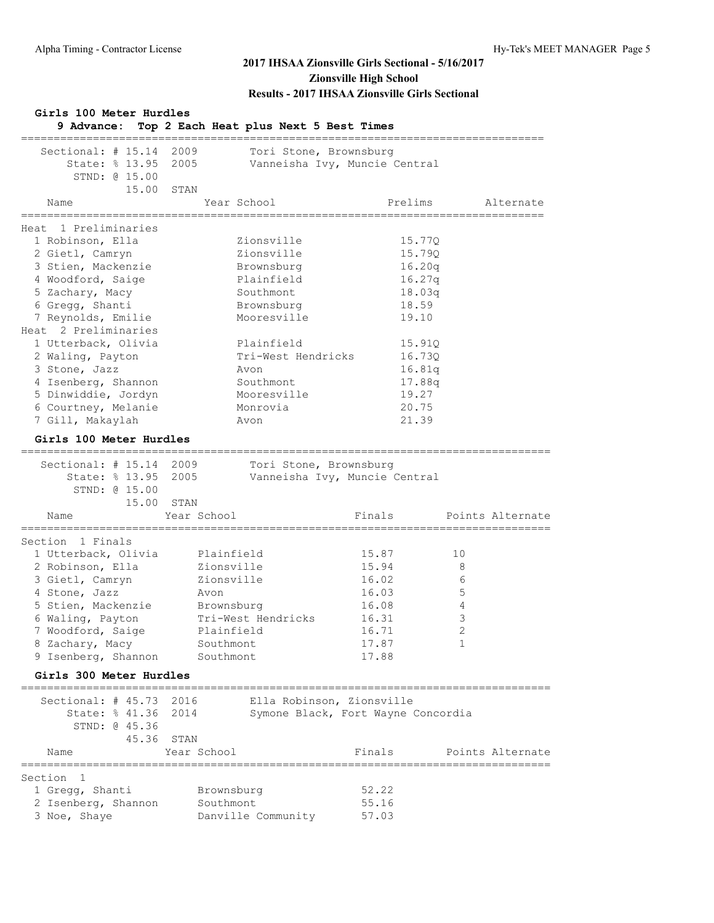| Girls 100 Meter Hurdles<br>9 Advance:                                                                                                                                                                                                                                                                                                           | Top 2 Each Heat plus Next 5 Best Times                                                                                                                                                     |                                                                                                                                     |                                       |
|-------------------------------------------------------------------------------------------------------------------------------------------------------------------------------------------------------------------------------------------------------------------------------------------------------------------------------------------------|--------------------------------------------------------------------------------------------------------------------------------------------------------------------------------------------|-------------------------------------------------------------------------------------------------------------------------------------|---------------------------------------|
| Sectional: $\#$ 15.14<br>State: % 13.95 2005<br>STND: @ 15.00                                                                                                                                                                                                                                                                                   | 2009<br>Tori Stone, Brownsburg                                                                                                                                                             | Vanneisha Ivy, Muncie Central                                                                                                       |                                       |
| 15.00                                                                                                                                                                                                                                                                                                                                           | STAN                                                                                                                                                                                       |                                                                                                                                     |                                       |
| Name                                                                                                                                                                                                                                                                                                                                            | Year School                                                                                                                                                                                | Prelims                                                                                                                             | Alternate                             |
| Heat 1 Preliminaries<br>1 Robinson, Ella<br>2 Gietl, Camryn<br>3 Stien, Mackenzie<br>4 Woodford, Saige<br>5 Zachary, Macy<br>6 Gregg, Shanti<br>7 Reynolds, Emilie<br>Heat 2 Preliminaries<br>1 Utterback, Olivia<br>2 Waling, Payton<br>3 Stone, Jazz<br>4 Isenberg, Shannon<br>5 Dinwiddie, Jordyn<br>6 Courtney, Melanie<br>7 Gill, Makaylah | Zionsville<br>Zionsville<br>Brownsburg<br>Plainfield<br>Southmont<br>Brownsburg<br>Mooresville<br>Plainfield<br>Tri-West Hendricks<br>Avon<br>Southmont<br>Mooresville<br>Monrovia<br>Avon | 15.77Q<br>15.79Q<br>16.20q<br>16.27q<br>18.03q<br>18.59<br>19.10<br>15.91Q<br>16.73Q<br>16.81q<br>17.88q<br>19.27<br>20.75<br>21.39 |                                       |
| Girls 100 Meter Hurdles                                                                                                                                                                                                                                                                                                                         |                                                                                                                                                                                            |                                                                                                                                     |                                       |
| Sectional: # 15.14 2009<br>State: % 13.95<br>STND: @ 15.00<br>15.00<br>Name                                                                                                                                                                                                                                                                     | Tori Stone, Brownsburg<br>2005<br>STAN<br>Year School                                                                                                                                      | Vanneisha Ivy, Muncie Central<br>Finals                                                                                             | Points Alternate                      |
| Section 1 Finals<br>1 Utterback, Olivia<br>2 Robinson, Ella<br>3 Gietl, Camryn<br>4 Stone, Jazz<br>5 Stien, Mackenzie<br>6 Waling, Payton<br>7 Woodford, Saige<br>8 Zachary, Macy<br>9 Isenberg, Shannon                                                                                                                                        | Plainfield<br>Zionsville<br>Zionsville<br>Avon<br>Brownsburg<br>Tri-West Hendricks<br>Plainfield<br>Southmont<br>Southmont                                                                 | 15.87<br>15.94<br>16.02<br>16.03<br>16.08<br>16.31<br>16.71<br>17.87<br>17.88                                                       | 10<br>8<br>6<br>5<br>4<br>3<br>2<br>1 |
| Girls 300 Meter Hurdles<br>----------------------                                                                                                                                                                                                                                                                                               |                                                                                                                                                                                            |                                                                                                                                     |                                       |
| Sectional: $# 45.73$<br>State: % 41.36<br>STND: 0 45.36<br>45.36<br>Name                                                                                                                                                                                                                                                                        | 2016<br>2014<br>STAN<br>Year School                                                                                                                                                        | Ella Robinson, Zionsville<br>Symone Black, Fort Wayne Concordia<br>Finals                                                           | Points Alternate                      |
| ==================                                                                                                                                                                                                                                                                                                                              | ------------------------                                                                                                                                                                   | =====================================                                                                                               |                                       |
| Section<br>1<br>1 Gregg, Shanti<br>2 Isenberg, Shannon<br>3 Noe, Shaye                                                                                                                                                                                                                                                                          | Brownsburg<br>Southmont<br>Danville Community                                                                                                                                              | 52.22<br>55.16<br>57.03                                                                                                             |                                       |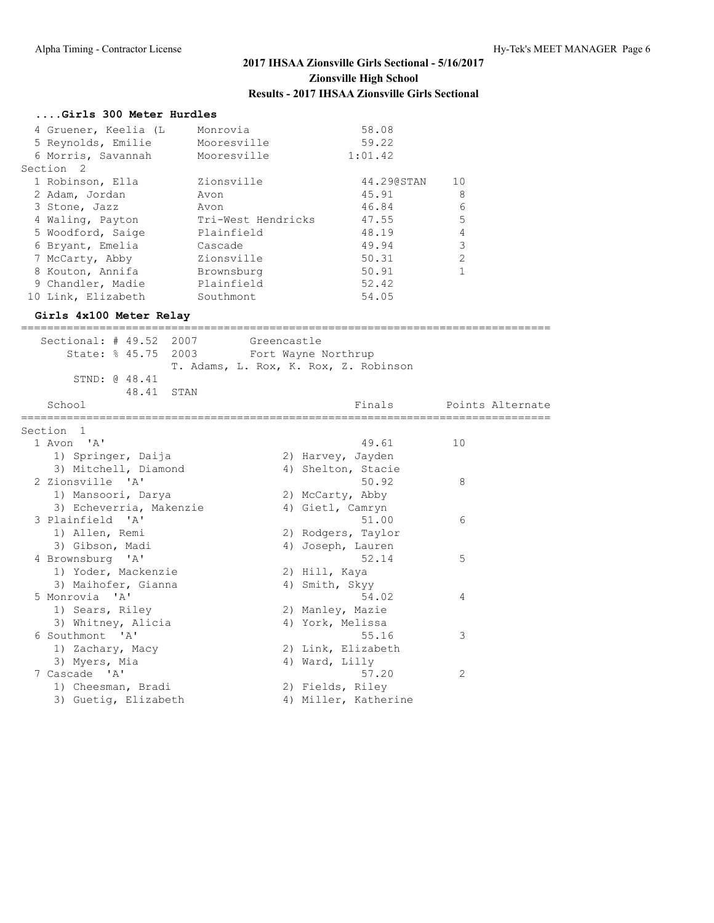#### **....Girls 300 Meter Hurdles**

| 4 Gruener, Keelia (L | Monrovia           | 58.08      |               |
|----------------------|--------------------|------------|---------------|
| 5 Reynolds, Emilie   | Mooresville        | 59.22      |               |
| 6 Morris, Savannah   | Mooresville        | 1:01.42    |               |
| Section 2            |                    |            |               |
| 1 Robinson, Ella     | Zionsville         | 44.290STAN | 10            |
| 2 Adam, Jordan       | Avon               | 45.91      | 8             |
| 3 Stone, Jazz        | Avon               | 46.84      | 6             |
| 4 Waling, Payton     | Tri-West Hendricks | 47.55      | 5             |
| 5 Woodford, Saige    | Plainfield         | 48.19      | 4             |
| 6 Bryant, Emelia     | Cascade            | 49.94      | 3             |
| 7 McCarty, Abby      | Zionsville         | 50.31      | $\mathcal{L}$ |
| 8 Kouton, Annifa     | Brownsburg         | 50.91      |               |
| 9 Chandler, Madie    | Plainfield         | 52.42      |               |
| 10 Link, Elizabeth   | Southmont          | 54.05      |               |

#### **Girls 4x100 Meter Relay**

| =============                                                      |                                       |                  |
|--------------------------------------------------------------------|---------------------------------------|------------------|
| Sectional: # 49.52 2007<br>State: % 45.75 2003 Fort Wayne Northrup | Greencastle                           |                  |
| STND: @ 48.41                                                      | T. Adams, L. Rox, K. Rox, Z. Robinson |                  |
| 48.41 STAN                                                         |                                       |                  |
| School                                                             | Finals                                | Points Alternate |
| Section 1                                                          | =================================     |                  |
| 1 Avon 'A'                                                         | 49.61                                 | 10               |
| 1) Springer, Daija                                                 | 2) Harvey, Jayden                     |                  |
| 3) Mitchell, Diamond                                               | 4) Shelton, Stacie                    |                  |
| 2 Zionsville 'A'                                                   | 50.92                                 | 8                |
| 1) Mansoori, Darya                                                 | 2) McCarty, Abby                      |                  |
| 3) Echeverria, Makenzie                                            | 4) Gietl, Camryn                      |                  |
| 3 Plainfield 'A'                                                   | 51.00                                 | 6                |
| 1) Allen, Remi                                                     | 2) Rodgers, Taylor                    |                  |
| 3) Gibson, Madi                                                    | 4) Joseph, Lauren                     |                  |
| 4 Brownsburg 'A'                                                   | 52.14                                 | 5                |
| 1) Yoder, Mackenzie                                                | 2) Hill, Kaya                         |                  |
| 3) Maihofer, Gianna                                                | 4) Smith, Skyy                        |                  |
| 5 Monrovia 'A'                                                     | 54.02                                 | 4                |
| 1) Sears, Riley                                                    | 2) Manley, Mazie                      |                  |
| 3) Whitney, Alicia                                                 | 4) York, Melissa                      |                  |
| 6 Southmont 'A'                                                    | 55.16                                 | 3                |
| 1) Zachary, Macy                                                   | 2) Link, Elizabeth                    |                  |
| 3) Myers, Mia                                                      | 4) Ward, Lilly                        |                  |
| 7 Cascade 'A'                                                      | 57.20                                 | 2                |
| 1) Cheesman, Bradi                                                 | 2) Fields, Riley                      |                  |
| 3) Guetig, Elizabeth                                               | 4) Miller, Katherine                  |                  |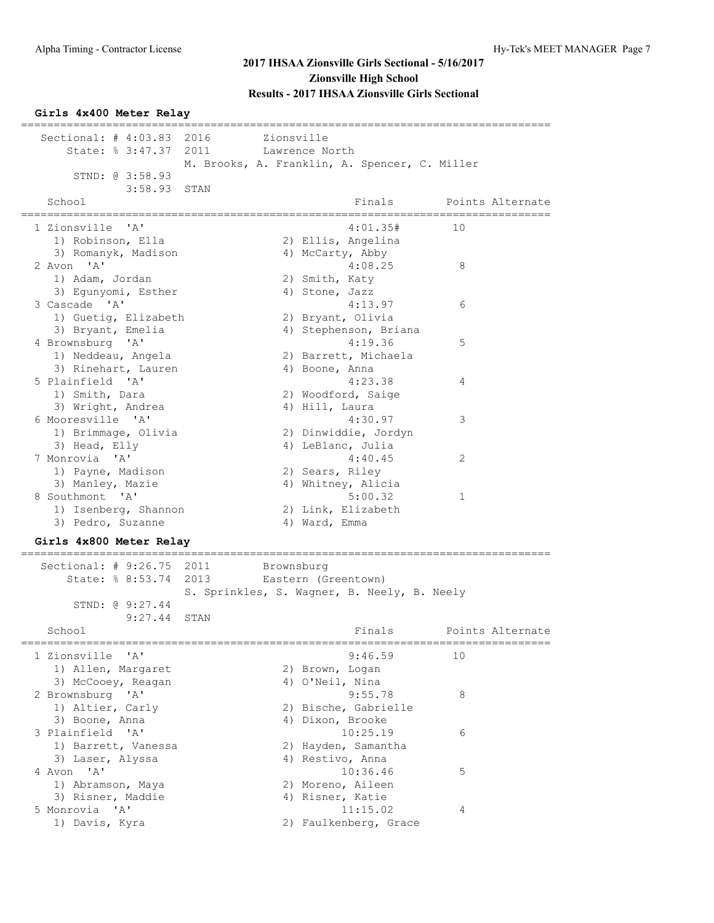### **Girls 4x400 Meter Relay**

|                                           |      |            |                                               | ------------------------- |                  |
|-------------------------------------------|------|------------|-----------------------------------------------|---------------------------|------------------|
| Sectional: # 4:03.83 2016                 |      | Zionsville |                                               |                           |                  |
| State: % 3:47.37                          | 2011 |            | Lawrence North                                |                           |                  |
|                                           |      |            | M. Brooks, A. Franklin, A. Spencer, C. Miller |                           |                  |
| STND: 0 3:58.93                           |      |            |                                               |                           |                  |
| 3:58.93                                   | STAN |            |                                               |                           |                  |
| School                                    |      |            | Finals                                        |                           | Points Alternate |
| :==============                           |      |            |                                               | .================         |                  |
| 1 Zionsville 'A'                          |      |            | 4:01.35#                                      | 10                        |                  |
| 1) Robinson, Ella                         |      |            | 2) Ellis, Angelina                            |                           |                  |
| 3) Romanyk, Madison                       |      |            | 4) McCarty, Abby                              |                           |                  |
| 2 Avon 'A'                                |      |            | 4:08.25                                       | 8                         |                  |
| 1) Adam, Jordan                           |      |            | 2) Smith, Katy                                |                           |                  |
| 3) Egunyomi, Esther                       |      |            | 4) Stone, Jazz                                |                           |                  |
| 3 Cascade 'A'                             |      |            | 4:13.97                                       | 6                         |                  |
| 1) Guetig, Elizabeth                      |      |            | 2) Bryant, Olivia                             |                           |                  |
| 3) Bryant, Emelia                         |      |            | 4) Stephenson, Briana                         |                           |                  |
| 4 Brownsburg 'A'                          |      |            | 4:19.36                                       | 5                         |                  |
| 1) Neddeau, Angela                        |      |            | 2) Barrett, Michaela                          |                           |                  |
| 3) Rinehart, Lauren                       |      |            | 4) Boone, Anna                                |                           |                  |
| 5 Plainfield 'A'                          |      |            | 4:23.38                                       | 4                         |                  |
| 1) Smith, Dara                            |      |            | 2) Woodford, Saige                            |                           |                  |
| 3) Wright, Andrea                         |      |            | 4) Hill, Laura                                |                           |                  |
| 6 Mooresville 'A'                         |      |            | 4:30.97                                       | 3                         |                  |
| 1) Brimmage, Olivia                       |      |            | 2) Dinwiddie, Jordyn                          |                           |                  |
| 3) Head, Elly                             |      |            | 4) LeBlanc, Julia                             |                           |                  |
| 7 Monrovia 'A'                            |      |            | 4:40.45                                       | 2                         |                  |
| 1) Payne, Madison                         |      |            | 2) Sears, Riley                               |                           |                  |
| 3) Manley, Mazie                          |      |            | 4) Whitney, Alicia                            |                           |                  |
| 8 Southmont 'A'                           |      |            | 5:00.32                                       | 1                         |                  |
| 1) Isenberg, Shannon                      |      |            | 2) Link, Elizabeth                            |                           |                  |
| 3) Pedro, Suzanne                         |      |            | 4) Ward, Emma                                 |                           |                  |
| Girls 4x800 Meter Relav                   |      |            |                                               |                           |                  |
|                                           |      |            |                                               |                           |                  |
| Sectional: $\#$ 9:26.75                   | 2011 | Brownsburg |                                               |                           |                  |
| State: % 8:53.74                          | 2013 |            | Eastern (Greentown)                           |                           |                  |
|                                           |      |            | S. Sprinkles, S. Wagner, B. Neely, B. Neely   |                           |                  |
| STND: @ 9:27.44                           |      |            |                                               |                           |                  |
| 9:27.44                                   | STAN |            |                                               |                           |                  |
| School                                    |      |            | Finals                                        |                           | Points Alternate |
| 1 Zionsville<br>$^{\prime}$ A $^{\prime}$ |      |            | 9:46.59                                       | 10                        |                  |
| 1) Allen, Margaret                        |      |            | 2) Brown, Logan                               |                           |                  |
| 3) McCooey, Reagan                        |      |            | 4) O'Neil, Nina                               |                           |                  |
| 2 Brownsburg 'A'                          |      |            | 9:55.78                                       | 8                         |                  |
| 1) Altier, Carly                          |      |            | 2) Bische, Gabrielle                          |                           |                  |
| 3) Boone, Anna                            |      |            | 4) Dixon, Brooke                              |                           |                  |
| 3 Plainfield 'A'                          |      |            | 10:25.19                                      | 6                         |                  |
| 1) Barrett, Vanessa                       |      |            | 2) Hayden, Samantha                           |                           |                  |
| 3) Laser, Alyssa                          |      |            | 4) Restivo, Anna                              |                           |                  |
| 4 Avon 'A'                                |      |            | 10:36.46                                      | 5                         |                  |
| 1) Abramson, Maya                         |      |            | 2) Moreno, Aileen                             |                           |                  |
| 3) Risner, Maddie                         |      |            | 4) Risner, Katie                              |                           |                  |
| 5 Monrovia 'A'                            |      |            | 11:15.02                                      | 4                         |                  |
| 1) Davis, Kyra                            |      |            | 2) Faulkenberg, Grace                         |                           |                  |
|                                           |      |            |                                               |                           |                  |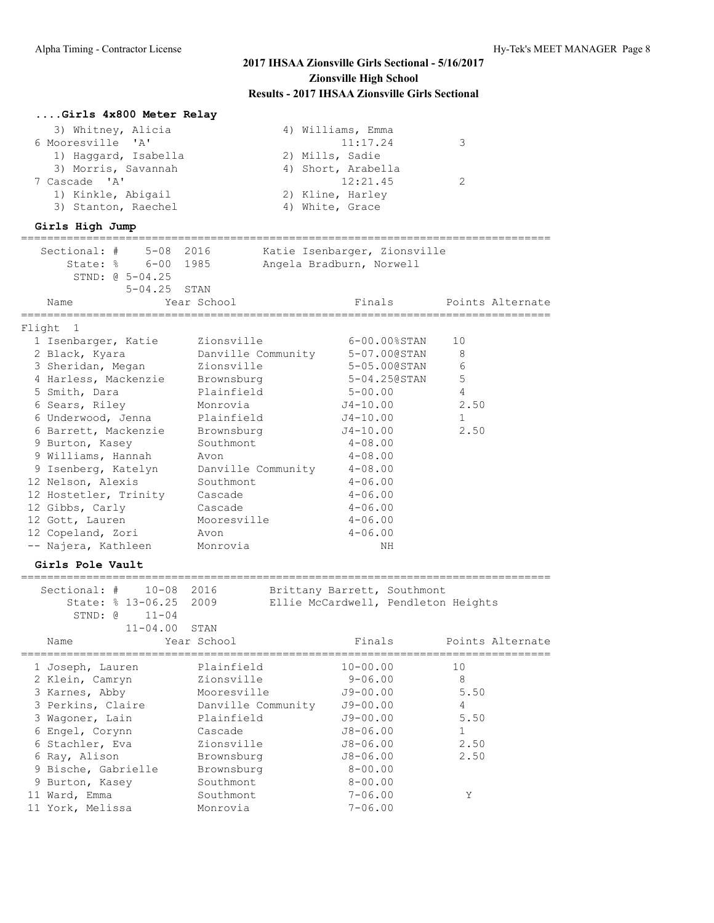| Girls 4x800 Meter Relay            |                    |                                     |                  |
|------------------------------------|--------------------|-------------------------------------|------------------|
| 3) Whitney, Alicia                 |                    | 4) Williams, Emma                   |                  |
| 6 Mooresville<br>' A'              |                    | 11:17.24                            | 3                |
| 1) Haggard, Isabella               |                    | 2) Mills, Sadie                     |                  |
| 3) Morris, Savannah                |                    | 4) Short, Arabella                  |                  |
| 7 Cascade 'A'                      |                    | 12:21.45                            | 2                |
| 1) Kinkle, Abigail                 |                    | 2) Kline, Harley                    |                  |
| 3) Stanton, Raechel                |                    | 4) White, Grace                     |                  |
| Girls High Jump                    |                    |                                     |                  |
|                                    |                    |                                     |                  |
| Sectional: #<br>$5 - 08$ 2016      |                    | Katie Isenbarger, Zionsville        |                  |
| State: % 6-00 1985                 |                    | Angela Bradburn, Norwell            |                  |
| STND: 0 5-04.25                    |                    |                                     |                  |
| $5 - 04.25$                        | STAN               |                                     |                  |
| Name                               | Year School        | Finals                              | Points Alternate |
| Flight<br>1                        |                    |                                     |                  |
| 1 Isenbarger, Katie                | Zionsville         | 6-00.00%STAN                        | 10               |
| 2 Black, Kyara                     | Danville Community | 5-07.00@STAN                        | 8                |
| 3 Sheridan, Megan                  | Zionsville         | 5-05.00@STAN                        | 6                |
| 4 Harless, Mackenzie               | Brownsburg         | 5-04.250STAN                        | 5                |
| 5 Smith, Dara                      | Plainfield         | $5 - 00.00$                         | 4                |
| 6 Sears, Riley                     | Monrovia           | $J4 - 10.00$                        | 2.50             |
| 6 Underwood, Jenna                 | Plainfield         | $J4 - 10.00$                        | 1                |
| 6 Barrett, Mackenzie               | Brownsburg         | $J4 - 10.00$                        | 2.50             |
| 9 Burton, Kasey                    | Southmont          | $4 - 08.00$                         |                  |
| 9 Williams, Hannah                 | Avon               | $4 - 08.00$                         |                  |
| 9 Isenberg, Katelyn                | Danville Community | $4 - 08.00$                         |                  |
| 12 Nelson, Alexis                  | Southmont          | $4 - 06.00$                         |                  |
| 12 Hostetler, Trinity              | Cascade            | $4 - 06.00$                         |                  |
|                                    | Cascade            | $4 - 06.00$                         |                  |
| 12 Gibbs, Carly<br>12 Gott, Lauren | Mooresville        | $4 - 06.00$                         |                  |
|                                    |                    |                                     |                  |
| 12 Copeland, Zori                  | Avon               | $4 - 06.00$                         |                  |
| -- Najera, Kathleen                | Monrovia           | NH                                  |                  |
| Girls Pole Vault                   |                    |                                     |                  |
| Sectional: #<br>10-08              | 2016               | Brittany Barrett, Southmont         |                  |
| State: % 13-06.25                  | 2009               | Ellie McCardwell, Pendleton Heights |                  |
| STND: @<br>$11 - 04$               |                    |                                     |                  |
| $11 - 04.00$                       | STAN               |                                     |                  |
| Name                               | Year School        | Finals                              | Points Alternate |
| 1 Joseph, Lauren                   | Plainfield         | $10 - 00.00$                        | 10               |
| 2 Klein, Camryn                    | Zionsville         | $9 - 06.00$                         | 8                |
| 3 Karnes, Abby                     | Mooresville        | $J9 - 00.00$                        | 5.50             |
| 3 Perkins, Claire                  |                    |                                     | 4                |
|                                    | Danville Community | $J9 - 00.00$                        |                  |
| 3 Wagoner, Lain                    | Plainfield         | $J9 - 00.00$                        | 5.50             |
| 6 Engel, Corynn                    | Cascade            | $J8 - 06.00$                        | 1                |
| 6 Stachler, Eva                    | Zionsville         | $J8 - 06.00$                        | 2.50             |
| 6 Ray, Alison                      | Brownsburg         | $J8 - 06.00$                        | 2.50             |
| 9 Bische, Gabrielle                | Brownsburg         | $8 - 00.00$                         |                  |
| 9 Burton, Kasey                    | Southmont          | $8 - 00.00$                         |                  |
| 11 Ward, Emma                      | Southmont          | $7 - 06.00$                         | Υ                |
| 11 York, Melissa                   | Monrovia           | $7 - 06.00$                         |                  |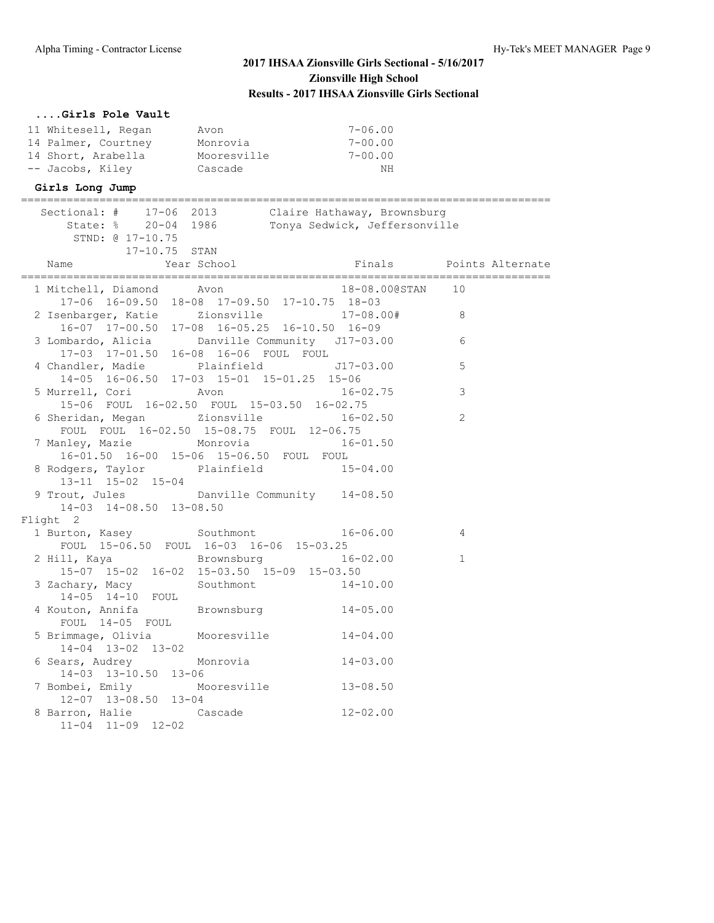# **....Girls Pole Vault**

| 11 Whitesell, Regan | Avon        | 7-06.00     |
|---------------------|-------------|-------------|
| 14 Palmer, Courtney | Monrovia    | $7 - 00.00$ |
| 14 Short, Arabella  | Mooresville | $7 - 00.00$ |
| -- Jacobs, Kiley    | Cascade     | NH          |

#### **Girls Long Jump**

| Sectional: # 17-06 2013 Claire Hathaway, Brownsburg                      | State: % 20-04 1986 Tonya Sedwick, Jeffersonville     |                  |                         |
|--------------------------------------------------------------------------|-------------------------------------------------------|------------------|-------------------------|
| STND: @ 17-10.75                                                         |                                                       |                  |                         |
| 17-10.75 STAN<br>Name                                                    | Year School                                           |                  | Finals Points Alternate |
|                                                                          |                                                       |                  |                         |
| 1 Mitchell, Diamond Avon                                                 | 17-06 16-09.50 18-08 17-09.50 17-10.75 18-03          | 18-08.00@STAN 10 |                         |
| 2 Isenbarger, Katie zionsville 17-08.00# 8                               | 16-07 17-00.50 17-08 16-05.25 16-10.50 16-09          |                  |                         |
| 3 Lombardo, Alicia banville Community J17-03.00                          |                                                       |                  | 6                       |
|                                                                          |                                                       |                  | 5                       |
| 5 Murrell, Cori Mon                                                      | 15-06 FOUL 16-02.50 FOUL 15-03.50 16-02.75            | $16 - 02.75$     | 3                       |
| 6 Sheridan, Megan Zionsville                                             | FOUL FOUL 16-02.50 15-08.75 FOUL 12-06.75             | $16 - 02.50$     | 2                       |
| 7 Manley, Mazie Monrovia 16-01.50                                        | 16-01.50 16-00 15-06 15-06.50 FOUL FOUL               |                  |                         |
| 8 Rodgers, Taylor Plainfield 15-04.00<br>13-11 15-02 15-04               |                                                       |                  |                         |
| 9 Trout, Jules Danville Community 14-08.50<br>14-03 14-08.50 13-08.50    |                                                       |                  |                         |
| Flight 2                                                                 |                                                       |                  |                         |
| 1 Burton, Kasey Southmont 16-06.00 4                                     | FOUL 15-06.50 FOUL 16-03 16-06 15-03.25               |                  |                         |
| 2 Hill, Kaya Brownsburg 16-02.00                                         | $15-07$ $15-02$ $16-02$ $15-03.50$ $15-09$ $15-03.50$ |                  | $\mathbf{1}$            |
| 3 Zachary, Macy Southmont 14-10.00<br>14-05 14-10 FOUL                   |                                                       |                  |                         |
| 4 Kouton, Annifa Brownsburg 14-05.00<br>FOUL 14-05 FOUL                  |                                                       |                  |                         |
| 5 Brimmage, Olivia Mooresville 14-04.00<br>$14 - 04$ $13 - 02$ $13 - 02$ |                                                       |                  |                         |
| 6 Sears, Audrey Monrovia<br>$14-03$ $13-10.50$ $13-06$                   |                                                       | $14 - 03.00$     |                         |
| 7 Bombei, Emily Mooresville 13-08.50<br>12-07 13-08.50 13-04             |                                                       |                  |                         |
| 8 Barron, Halie Cascade 12-02.00<br>$11-04$ $11-09$ $12-02$              |                                                       |                  |                         |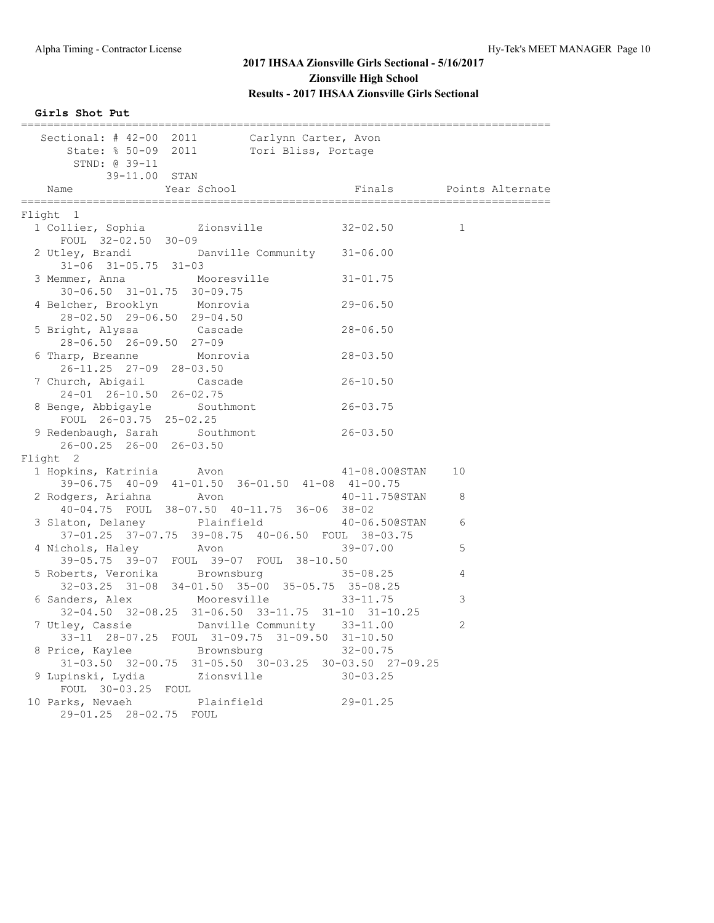**Girls Shot Put**

| Sectional: # 42-00 2011                     |                                  |                              | ional: # 42-00 2011 Carlynn Carter, Avon<br>State: % 50-09 2011 Tori Bliss, Portage |                                                       |              |  |
|---------------------------------------------|----------------------------------|------------------------------|-------------------------------------------------------------------------------------|-------------------------------------------------------|--------------|--|
|                                             | STND: @ 39-11                    |                              |                                                                                     |                                                       |              |  |
|                                             | 39-11.00 STAN                    |                              |                                                                                     |                                                       |              |  |
| Name                                        |                                  | Year School<br>============= |                                                                                     | Finals Points Alternate                               |              |  |
| Flight 1                                    |                                  |                              |                                                                                     |                                                       |              |  |
| 1 Collier, Sophia and Zionsville 32-02.50   |                                  |                              |                                                                                     |                                                       | $\mathbf{1}$ |  |
|                                             | FOUL 32-02.50 30-09              |                              |                                                                                     |                                                       |              |  |
| 2 Utley, Brandi Danville Community 31-06.00 |                                  |                              |                                                                                     |                                                       |              |  |
|                                             | $31 - 06$ $31 - 05.75$ $31 - 03$ |                              |                                                                                     |                                                       |              |  |
|                                             |                                  | Mooresville                  |                                                                                     | $31 - 01.75$                                          |              |  |
| 3 Memmer, Anna                              | 30-06.50 31-01.75 30-09.75       |                              |                                                                                     |                                                       |              |  |
|                                             |                                  |                              |                                                                                     | $29 - 06.50$                                          |              |  |
| 4 Belcher, Brooklyn                         | 28-02.50 29-06.50 29-04.50       | Monrovia                     |                                                                                     |                                                       |              |  |
|                                             |                                  |                              |                                                                                     |                                                       |              |  |
| 5 Bright, Alyssa Cascade                    |                                  |                              |                                                                                     | $28 - 06.50$                                          |              |  |
|                                             | 28-06.50 26-09.50 27-09          |                              |                                                                                     |                                                       |              |  |
| 6 Tharp, Breanne                            |                                  | Monrovia                     |                                                                                     | $28 - 03.50$                                          |              |  |
|                                             | 26-11.25 27-09 28-03.50          |                              |                                                                                     |                                                       |              |  |
| 7 Church, Abigail Cascade                   |                                  |                              |                                                                                     | $26 - 10.50$                                          |              |  |
|                                             | 24-01 26-10.50 26-02.75          |                              |                                                                                     |                                                       |              |  |
| 8 Benge, Abbigayle Southmont                |                                  |                              |                                                                                     | $26 - 03.75$                                          |              |  |
|                                             | FOUL 26-03.75 25-02.25           |                              |                                                                                     |                                                       |              |  |
| 9 Redenbaugh, Sarah Southmont               |                                  |                              |                                                                                     | $26 - 03.50$                                          |              |  |
|                                             | 26-00.25 26-00 26-03.50          |                              |                                                                                     |                                                       |              |  |
| Flight 2                                    |                                  |                              |                                                                                     |                                                       |              |  |
| 1 Hopkins, Katrinia Moon                    |                                  |                              |                                                                                     | 41-08.00@STAN                                         | 10           |  |
|                                             |                                  |                              |                                                                                     | 39-06.75 40-09 41-01.50 36-01.50 41-08 41-00.75       |              |  |
| 2 Rodgers, Ariahna Moon                     |                                  |                              |                                                                                     | 40-11.75@STAN                                         | 8            |  |
|                                             |                                  |                              | 40-04.75 FOUL 38-07.50 40-11.75 36-06 38-02                                         |                                                       |              |  |
| 3 Slaton, Delaney Plainfield                |                                  |                              |                                                                                     | 40-06.50@STAN                                         | 6            |  |
|                                             |                                  |                              |                                                                                     | 37-01.25 37-07.75 39-08.75 40-06.50 FOUL 38-03.75     |              |  |
| 4 Nichols, Haley                            |                                  | <b>Example 2</b> Avon        |                                                                                     | $39 - 07.00$                                          | 5            |  |
|                                             |                                  |                              | 39-05.75 39-07 FOUL 39-07 FOUL 38-10.50                                             |                                                       |              |  |
| 5 Roberts, Veronika Brownsburg              |                                  |                              |                                                                                     | $35 - 08.25$                                          | 4            |  |
|                                             |                                  |                              |                                                                                     | 32-03.25 31-08 34-01.50 35-00 35-05.75 35-08.25       |              |  |
| 6 Sanders, Alex                             |                                  | Mooresville                  |                                                                                     | $33 - 11.75$                                          | 3            |  |
|                                             |                                  |                              |                                                                                     | 32-04.50 32-08.25 31-06.50 33-11.75 31-10 31-10.25    |              |  |
| 7 Utley, Cassie                             |                                  |                              | Danville Community 33-11.00                                                         |                                                       | 2            |  |
|                                             |                                  |                              | 33-11 28-07.25 FOUL 31-09.75 31-09.50 31-10.50                                      |                                                       |              |  |
| 8 Price, Kaylee Brownsburg                  |                                  |                              |                                                                                     | $32 - 00.75$                                          |              |  |
|                                             |                                  |                              |                                                                                     | 31-03.50 32-00.75 31-05.50 30-03.25 30-03.50 27-09.25 |              |  |
|                                             |                                  |                              | Zionsville                                                                          | $30 - 03.25$                                          |              |  |
| 9 Lupinski, Lydia                           | FOUL 30-03.25 FOUL               |                              |                                                                                     |                                                       |              |  |
|                                             |                                  | Plainfield                   |                                                                                     |                                                       |              |  |
| 10 Parks, Nevaeh                            |                                  |                              |                                                                                     | $29 - 01.25$                                          |              |  |
|                                             | 29-01.25 28-02.75 FOUL           |                              |                                                                                     |                                                       |              |  |